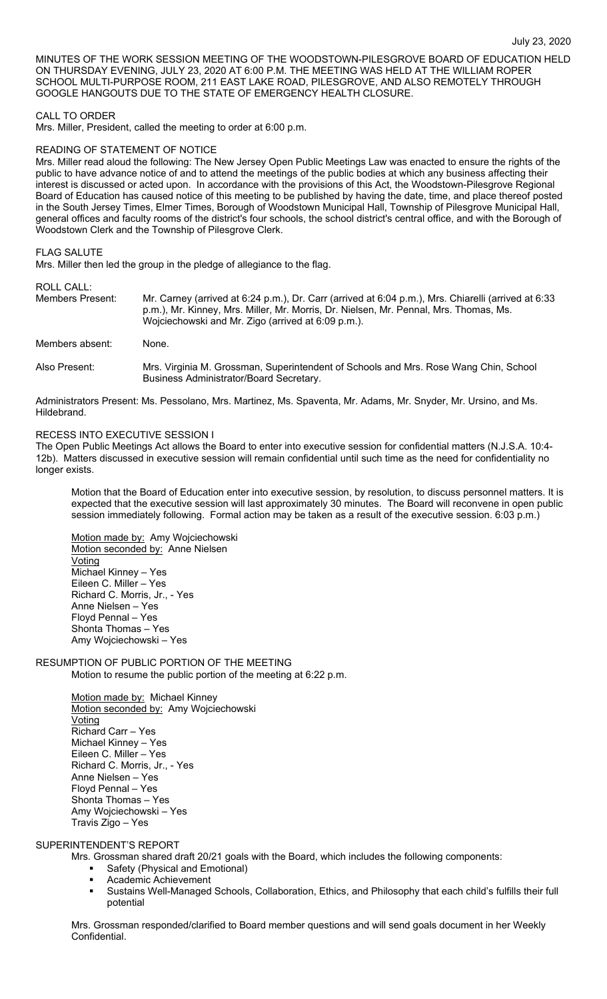MINUTES OF THE WORK SESSION MEETING OF THE WOODSTOWN-PILESGROVE BOARD OF EDUCATION HELD ON THURSDAY EVENING, JULY 23, 2020 AT 6:00 P.M. THE MEETING WAS HELD AT THE WILLIAM ROPER SCHOOL MULTI-PURPOSE ROOM, 211 EAST LAKE ROAD, PILESGROVE, AND ALSO REMOTELY THROUGH GOOGLE HANGOUTS DUE TO THE STATE OF EMERGENCY HEALTH CLOSURE.

### CALL TO ORDER

Mrs. Miller, President, called the meeting to order at 6:00 p.m.

#### READING OF STATEMENT OF NOTICE

Mrs. Miller read aloud the following: The New Jersey Open Public Meetings Law was enacted to ensure the rights of the public to have advance notice of and to attend the meetings of the public bodies at which any business affecting their interest is discussed or acted upon. In accordance with the provisions of this Act, the Woodstown-Pilesgrove Regional Board of Education has caused notice of this meeting to be published by having the date, time, and place thereof posted in the South Jersey Times, Elmer Times, Borough of Woodstown Municipal Hall, Township of Pilesgrove Municipal Hall, general offices and faculty rooms of the district's four schools, the school district's central office, and with the Borough of Woodstown Clerk and the Township of Pilesgrove Clerk.

#### FLAG SALUTE

Mrs. Miller then led the group in the pledge of allegiance to the flag.

ROLL CALL:

Members Present: Mr. Carney (arrived at 6:24 p.m.), Dr. Carr (arrived at 6:04 p.m.), Mrs. Chiarelli (arrived at 6:33 p.m.), Mr. Kinney, Mrs. Miller, Mr. Morris, Dr. Nielsen, Mr. Pennal, Mrs. Thomas, Ms. Wojciechowski and Mr. Zigo (arrived at 6:09 p.m.).

Members absent: None.

Also Present: Mrs. Virginia M. Grossman, Superintendent of Schools and Mrs. Rose Wang Chin, School Business Administrator/Board Secretary.

Administrators Present: Ms. Pessolano, Mrs. Martinez, Ms. Spaventa, Mr. Adams, Mr. Snyder, Mr. Ursino, and Ms. Hildebrand.

#### RECESS INTO EXECUTIVE SESSION I

The Open Public Meetings Act allows the Board to enter into executive session for confidential matters (N.J.S.A. 10:4- 12b). Matters discussed in executive session will remain confidential until such time as the need for confidentiality no longer exists.

Motion that the Board of Education enter into executive session, by resolution, to discuss personnel matters. It is expected that the executive session will last approximately 30 minutes. The Board will reconvene in open public session immediately following. Formal action may be taken as a result of the executive session. 6:03 p.m.)

Motion made by: Amy Wojciechowski Motion seconded by: Anne Nielsen **Voting** Michael Kinney – Yes Eileen C. Miller – Yes Richard C. Morris, Jr., - Yes Anne Nielsen – Yes Floyd Pennal – Yes Shonta Thomas – Yes Amy Wojciechowski – Yes

#### RESUMPTION OF PUBLIC PORTION OF THE MEETING Motion to resume the public portion of the meeting at 6:22 p.m.

Motion made by: Michael Kinney Motion seconded by: Amy Wojciechowski Voting Richard Carr – Yes Michael Kinney – Yes Eileen C. Miller – Yes Richard C. Morris, Jr., - Yes Anne Nielsen – Yes Floyd Pennal – Yes Shonta Thomas – Yes Amy Wojciechowski – Yes Travis Zigo – Yes

### SUPERINTENDENT'S REPORT

Mrs. Grossman shared draft 20/21 goals with the Board, which includes the following components:

- **Safety (Physical and Emotional)**
- Academic Achievement
- Sustains Well-Managed Schools, Collaboration, Ethics, and Philosophy that each child's fulfills their full potential

Mrs. Grossman responded/clarified to Board member questions and will send goals document in her Weekly Confidential.